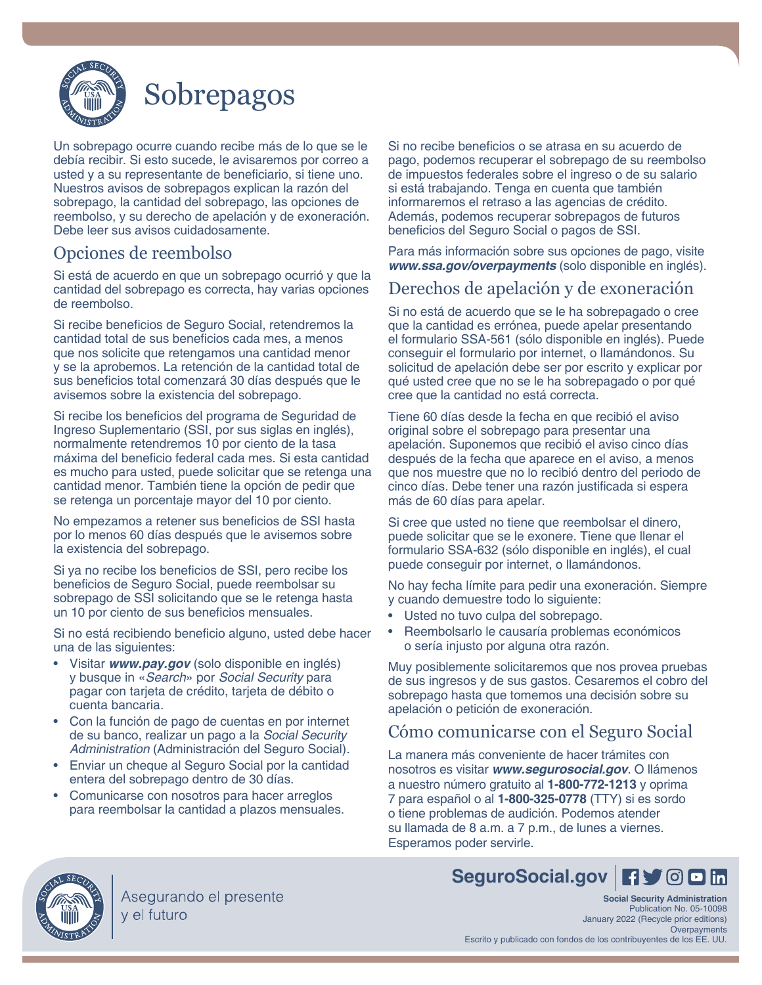

# Sobrepagos

Un sobrepago ocurre cuando recibe más de lo que se le debía recibir. Si esto sucede, le avisaremos por correo a usted y a su representante de beneficiario, si tiene uno. Nuestros avisos de sobrepagos explican la razón del sobrepago, la cantidad del sobrepago, las opciones de reembolso, y su derecho de apelación y de exoneración. Debe leer sus avisos cuidadosamente.

### Opciones de reembolso

Si está de acuerdo en que un sobrepago ocurrió y que la cantidad del sobrepago es correcta, hay varias opciones de reembolso.

Si recibe beneficios de Seguro Social, retendremos la cantidad total de sus beneficios cada mes, a menos que nos solicite que retengamos una cantidad menor y se la aprobemos. La retención de la cantidad total de sus beneficios total comenzará 30 días después que le avisemos sobre la existencia del sobrepago.

Si recibe los beneficios del programa de Seguridad de Ingreso Suplementario (SSI, por sus siglas en inglés), normalmente retendremos 10 por ciento de la tasa máxima del beneficio federal cada mes. Si esta cantidad es mucho para usted, puede solicitar que se retenga una cantidad menor. También tiene la opción de pedir que se retenga un porcentaje mayor del 10 por ciento.

No empezamos a retener sus beneficios de SSI hasta por lo menos 60 días después que le avisemos sobre la existencia del sobrepago.

Si ya no recibe los beneficios de SSI, pero recibe los beneficios de Seguro Social, puede reembolsar su sobrepago de SSI solicitando que se le retenga hasta un 10 por ciento de sus beneficios mensuales.

Si no está recibiendo beneficio alguno, usted debe hacer una de las siguientes:

- Visitar *[www.pay.gov](https://www.pay.gov)* (solo disponible en inglés) y busque in «*Search*» por *Social Security* para pagar con tarjeta de crédito, tarjeta de débito o cuenta bancaria.
- Con la función de pago de cuentas en por internet de su banco, realizar un pago a la *Social Security Administration* (Administración del Seguro Social).
- Enviar un cheque al Seguro Social por la cantidad entera del sobrepago dentro de 30 días.
- Comunicarse con nosotros para hacer arreglos para reembolsar la cantidad a plazos mensuales.

Si no recibe beneficios o se atrasa en su acuerdo de pago, podemos recuperar el sobrepago de su reembolso de impuestos federales sobre el ingreso o de su salario si está trabajando. Tenga en cuenta que también informaremos el retraso a las agencias de crédito. Además, podemos recuperar sobrepagos de futuros beneficios del Seguro Social o pagos de SSI.

Para más información sobre sus opciones de pago, visite *[www.ssa.gov/overpayments](https://www.ssa.gov/overpayments)* (solo disponible en inglés).

### Derechos de apelación y de exoneración

Si no está de acuerdo que se le ha sobrepagado o cree que la cantidad es errónea, puede apelar presentando el formulario SSA-561 (sólo disponible en inglés). Puede conseguir el formulario por internet, o llamándonos. Su solicitud de apelación debe ser por escrito y explicar por qué usted cree que no se le ha sobrepagado o por qué cree que la cantidad no está correcta.

Tiene 60 días desde la fecha en que recibió el aviso original sobre el sobrepago para presentar una apelación. Suponemos que recibió el aviso cinco días después de la fecha que aparece en el aviso, a menos que nos muestre que no lo recibió dentro del periodo de cinco días. Debe tener una razón justificada si espera más de 60 días para apelar.

Si cree que usted no tiene que reembolsar el dinero, puede solicitar que se le exonere. Tiene que llenar el formulario SSA-632 (sólo disponible en inglés), el cual puede conseguir por internet, o llamándonos.

No hay fecha límite para pedir una exoneración. Siempre y cuando demuestre todo lo siguiente:

- Usted no tuvo culpa del sobrepago.
- Reembolsarlo le causaría problemas económicos o sería injusto por alguna otra razón.

Muy posiblemente solicitaremos que nos provea pruebas de sus ingresos y de sus gastos. Cesaremos el cobro del sobrepago hasta que tomemos una decisión sobre su apelación o petición de exoneración.

### Cómo comunicarse con el Seguro Social

La manera más conveniente de hacer trámites con nosotros es visitar *[www.segurosocial.gov](https://www.segurosocial.gov)*. O llámenos a nuestro número gratuito al **1-800-772-1213** y oprima 7 para español o al **1-800-325-0778** (TTY) si es sordo o tiene problemas de audición. Podemos atender su llamada de 8 a.m. a 7 p.m., de lunes a viernes. Esperamos poder servirle.



Asegurando el presente v el futuro

### [SeguroSocial.gov](https://SeguroSocial.gov) **F**  $\bullet$  <sup>©</sup> **D** in

**Social Security Administration** Publication No. 05-10098 January 2022 (Recycle prior editions) Overpayments Escrito y publicado con fondos de los contribuyentes de los EE. UU.